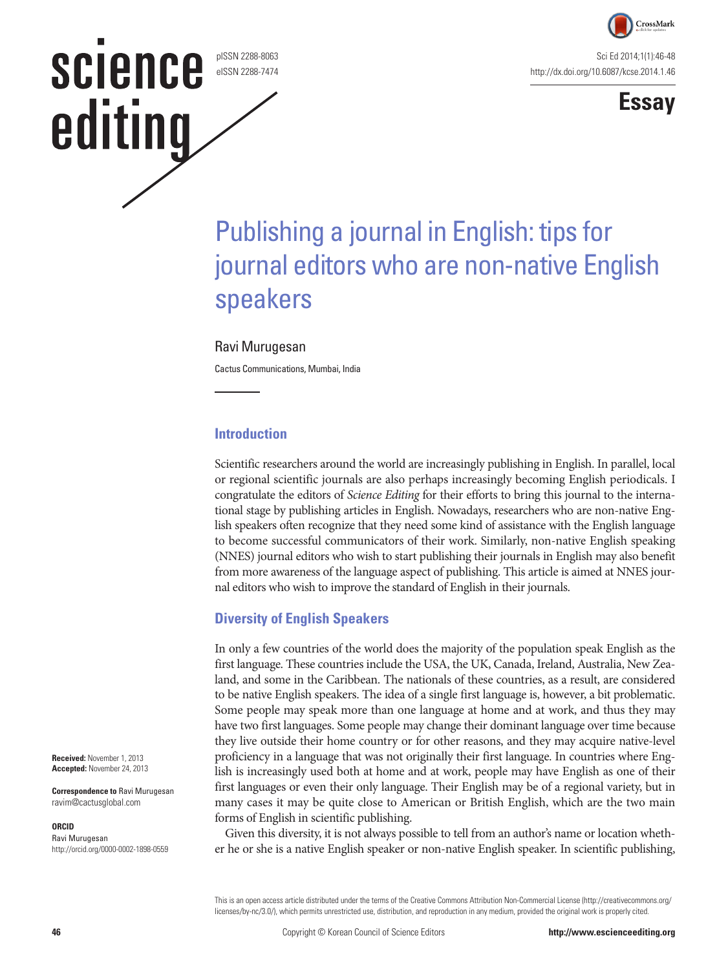

Sci Ed 2014;1(1):46-48 http://dx.doi.org/10.6087/kcse.2014.1.46



# Publishing a journal in English: tips for journal editors who are non-native English speakers

#### Ravi Murugesan

pISSN 2288-8063 eISSN 2288-7474

**science** 

editing

Cactus Communications, Mumbai, India

#### **Introduction**

Scientific researchers around the world are increasingly publishing in English. In parallel, local or regional scientific journals are also perhaps increasingly becoming English periodicals. I congratulate the editors of *Science Editing* for their efforts to bring this journal to the international stage by publishing articles in English. Nowadays, researchers who are non-native English speakers often recognize that they need some kind of assistance with the English language to become successful communicators of their work. Similarly, non-native English speaking (NNES) journal editors who wish to start publishing their journals in English may also benefit from more awareness of the language aspect of publishing. This article is aimed at NNES journal editors who wish to improve the standard of English in their journals.

### **Diversity of English Speakers**

In only a few countries of the world does the majority of the population speak English as the first language. These countries include the USA, the UK, Canada, Ireland, Australia, New Zealand, and some in the Caribbean. The nationals of these countries, as a result, are considered to be native English speakers. The idea of a single first language is, however, a bit problematic. Some people may speak more than one language at home and at work, and thus they may have two first languages. Some people may change their dominant language over time because they live outside their home country or for other reasons, and they may acquire native-level proficiency in a language that was not originally their first language. In countries where English is increasingly used both at home and at work, people may have English as one of their first languages or even their only language. Their English may be of a regional variety, but in many cases it may be quite close to American or British English, which are the two main forms of English in scientific publishing.

Given this diversity, it is not always possible to tell from an author's name or location whether he or she is a native English speaker or non-native English speaker. In scientific publishing,

This is an open access article distributed under the terms of the Creative Commons Attribution Non-Commercial License (http://creativecommons.org/ licenses/by-nc/3.0/), which permits unrestricted use, distribution, and reproduction in any medium, provided the original work is properly cited.

**Received:** November 1, 2013 **Accepted:** November 24, 2013

**Correspondence to** Ravi Murugesan ravim@cactusglobal.com

#### **ORCID**

Ravi Murugesan http://orcid.org/0000-0002-1898-0559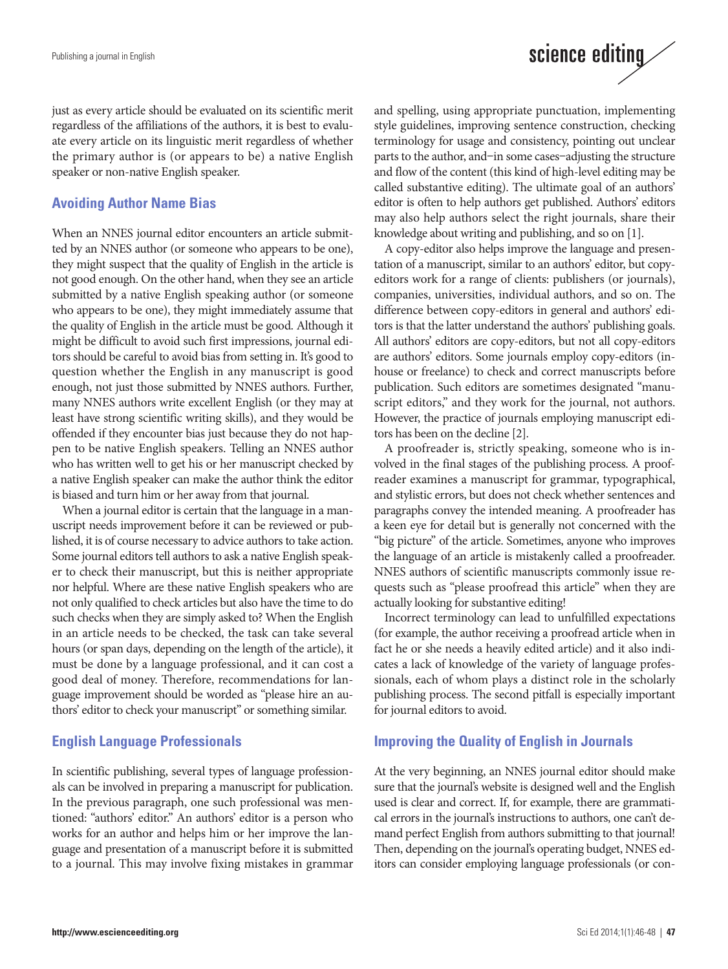just as every article should be evaluated on its scientific merit regardless of the affiliations of the authors, it is best to evaluate every article on its linguistic merit regardless of whether the primary author is (or appears to be) a native English speaker or non-native English speaker.

#### **Avoiding Author Name Bias**

When an NNES journal editor encounters an article submitted by an NNES author (or someone who appears to be one), they might suspect that the quality of English in the article is not good enough. On the other hand, when they see an article submitted by a native English speaking author (or someone who appears to be one), they might immediately assume that the quality of English in the article must be good. Although it might be difficult to avoid such first impressions, journal editors should be careful to avoid bias from setting in. It's good to question whether the English in any manuscript is good enough, not just those submitted by NNES authors. Further, many NNES authors write excellent English (or they may at least have strong scientific writing skills), and they would be offended if they encounter bias just because they do not happen to be native English speakers. Telling an NNES author who has written well to get his or her manuscript checked by a native English speaker can make the author think the editor is biased and turn him or her away from that journal.

When a journal editor is certain that the language in a manuscript needs improvement before it can be reviewed or published, it is of course necessary to advice authors to take action. Some journal editors tell authors to ask a native English speaker to check their manuscript, but this is neither appropriate nor helpful. Where are these native English speakers who are not only qualified to check articles but also have the time to do such checks when they are simply asked to? When the English in an article needs to be checked, the task can take several hours (or span days, depending on the length of the article), it must be done by a language professional, and it can cost a good deal of money. Therefore, recommendations for language improvement should be worded as "please hire an authors' editor to check your manuscript" or something similar.

#### **English Language Professionals**

In scientific publishing, several types of language professionals can be involved in preparing a manuscript for publication. In the previous paragraph, one such professional was mentioned: "authors' editor." An authors' editor is a person who works for an author and helps him or her improve the language and presentation of a manuscript before it is submitted to a journal. This may involve fixing mistakes in grammar and spelling, using appropriate punctuation, implementing style guidelines, improving sentence construction, checking terminology for usage and consistency, pointing out unclear parts to the author, and–in some cases–adjusting the structure and flow of the content (this kind of high-level editing may be called substantive editing). The ultimate goal of an authors' editor is often to help authors get published. Authors' editors may also help authors select the right journals, share their knowledge about writing and publishing, and so on [1].

science editing

A copy-editor also helps improve the language and presentation of a manuscript, similar to an authors' editor, but copyeditors work for a range of clients: publishers (or journals), companies, universities, individual authors, and so on. The difference between copy-editors in general and authors' editors is that the latter understand the authors' publishing goals. All authors' editors are copy-editors, but not all copy-editors are authors' editors. Some journals employ copy-editors (inhouse or freelance) to check and correct manuscripts before publication. Such editors are sometimes designated "manuscript editors," and they work for the journal, not authors. However, the practice of journals employing manuscript editors has been on the decline [2].

A proofreader is, strictly speaking, someone who is involved in the final stages of the publishing process. A proofreader examines a manuscript for grammar, typographical, and stylistic errors, but does not check whether sentences and paragraphs convey the intended meaning. A proofreader has a keen eye for detail but is generally not concerned with the "big picture" of the article. Sometimes, anyone who improves the language of an article is mistakenly called a proofreader. NNES authors of scientific manuscripts commonly issue requests such as "please proofread this article" when they are actually looking for substantive editing!

Incorrect terminology can lead to unfulfilled expectations (for example, the author receiving a proofread article when in fact he or she needs a heavily edited article) and it also indicates a lack of knowledge of the variety of language professionals, each of whom plays a distinct role in the scholarly publishing process. The second pitfall is especially important for journal editors to avoid.

#### **Improving the Quality of English in Journals**

At the very beginning, an NNES journal editor should make sure that the journal's website is designed well and the English used is clear and correct. If, for example, there are grammatical errors in the journal's instructions to authors, one can't demand perfect English from authors submitting to that journal! Then, depending on the journal's operating budget, NNES editors can consider employing language professionals (or con-